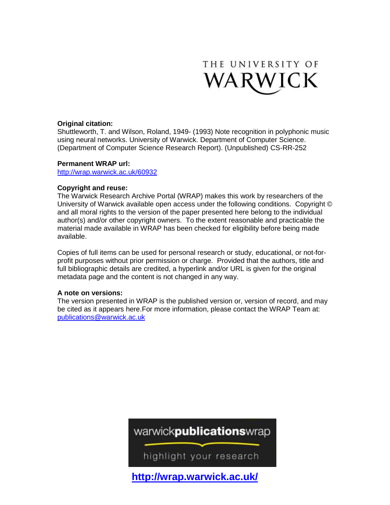

#### **Original citation:**

Shuttleworth, T. and Wilson, Roland, 1949- (1993) Note recognition in polyphonic music using neural networks. University of Warwick. Department of Computer Science. (Department of Computer Science Research Report). (Unpublished) CS-RR-252

#### **Permanent WRAP url:**

<http://wrap.warwick.ac.uk/60932>

#### **Copyright and reuse:**

The Warwick Research Archive Portal (WRAP) makes this work by researchers of the University of Warwick available open access under the following conditions. Copyright © and all moral rights to the version of the paper presented here belong to the individual author(s) and/or other copyright owners. To the extent reasonable and practicable the material made available in WRAP has been checked for eligibility before being made available.

Copies of full items can be used for personal research or study, educational, or not-forprofit purposes without prior permission or charge. Provided that the authors, title and full bibliographic details are credited, a hyperlink and/or URL is given for the original metadata page and the content is not changed in any way.

#### **A note on versions:**

The version presented in WRAP is the published version or, version of record, and may be cited as it appears here.For more information, please contact the WRAP Team at: [publications@warwick.ac.uk](mailto:publications@warwick.ac.uk)

# warwickpublicationswrap

highlight your research

**<http://wrap.warwick.ac.uk/>**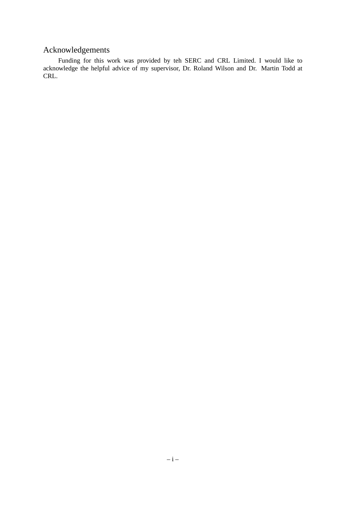### Acknowledgements

Funding for this work was provided by teh SERC and CRL Limited. I would like to acknowledge the helpful advice of my supervisor, Dr. Roland Wilson and Dr. Martin Todd at CRL.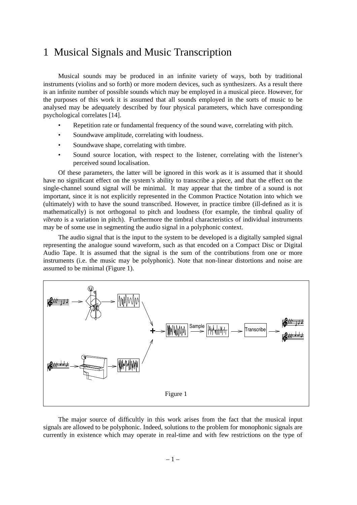## 1 Musical Signals and Music Transcription

Musical sounds may be produced in an infinite variety of ways, both by traditional instruments (violins and so forth) or more modern devices, such as synthesizers. As a result there is an infinite number of possible sounds which may be employed in a musical piece. However, for the purposes of this work it is assumed that all sounds employed in the sorts of music to be analysed may be adequately described by four physical parameters, which have corresponding psychological correlates [14].

- Repetition rate or fundamental frequency of the sound wave, correlating with pitch.
- Soundwave amplitude, correlating with loudness.
- Soundwave shape, correlating with timbre.
- Sound source location, with respect to the listener, correlating with the listener's perceived sound localisation.

Of these parameters, the latter will be ignored in this work as it is assumed that it should have no significant effect on the system's ability to transcribe a piece, and that the effect on the single-channel sound signal will be minimal. It may appear that the timbre of a sound is not important, since it is not explicitly represented in the Common Practice Notation into which we (ultimately) with to have the sound transcribed. However, in practice timbre (ill-defined as it is mathematically) is not orthogonal to pitch and loudness (for example, the timbral quality of *vibrato* is a variation in pitch). Furthermore the timbral characteristics of individual instruments may be of some use in segmenting the audio signal in a polyphonic context.

The audio signal that is the input to the system to be developed is a digitally sampled signal representing the analogue sound waveform, such as that encoded on a Compact Disc or Digital Audio Tape. It is assumed that the signal is the sum of the contributions from one or more instruments (i.e. the music may be polyphonic). Note that non-linear distortions and noise are assumed to be minimal (Figure 1).



The major source of difficultly in this work arises from the fact that the musical input signals are allowed to be polyphonic. Indeed, solutions to the problem for monophonic signals are currently in existence which may operate in real-time and with few restrictions on the type of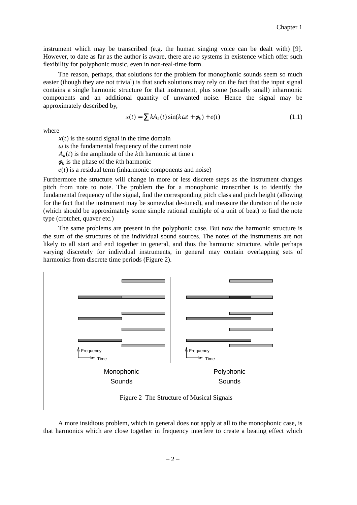instrument which may be transcribed (e.g. the human singing voice can be dealt with) [9]. However, to date as far as the author is aware, there are *no* systems in existence which offer such flexibility for polyphonic music, even in non-real-time form.

The reason, perhaps, that solutions for the problem for monophonic sounds seem so much easier (though they are not trivial) is that such solutions may rely on the fact that the input signal contains a single harmonic structure for that instrument, plus some (usually small) inharmonic components and an additional quantity of unwanted noise. Hence the signal may be approximately described by,

$$
x(t) = \sum k A_k(t) \sin(k\omega t + \phi_k) + e(t)
$$
\n(1.1)

where

 $x(t)$  is the sound signal in the time domain

 $\omega$  is the fundamental frequency of the current note

 $A_k(t)$  is the amplitude of the *k*th harmonic at time *t* 

 $\phi_k$  is the phase of the *k*<sup>th</sup> harmonic

 $e(t)$  is a residual term (inharmonic components and noise)

Furthermore the structure will change in more or less discrete steps as the instrument changes pitch from note to note. The problem the for a monophonic transcriber is to identify the fundamental frequency of the signal, find the corresponding pitch class and pitch height (allowing for the fact that the instrument may be somewhat de-tuned), and measure the duration of the note (which should be approximately some simple rational multiple of a unit of beat) to find the note type (crotchet, quaver etc.)

The same problems are present in the polyphonic case. But now the harmonic structure is the sum of the structures of the individual sound sources. The notes of the instruments are not likely to all start and end together in general, and thus the harmonic structure, while perhaps varying discretely for individual instruments, in general may contain overlapping sets of harmonics from discrete time periods (Figure 2).



A more insidious problem, which in general does not apply at all to the monophonic case, is that harmonics which are close together in frequency interfere to create a beating effect which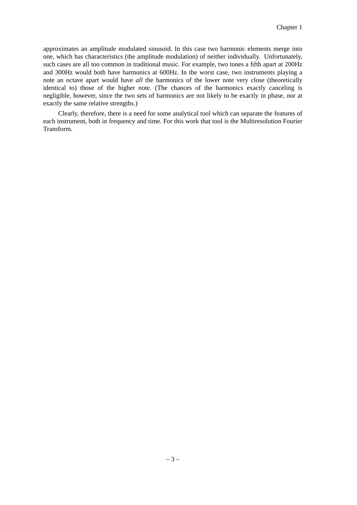approximates an amplitude modulated sinusoid. In this case two harmonic elements merge into one, which has characteristics (the amplitude modulation) of neither individually. Unfortunately, such cases are all too common in traditional music. For example, two tones a fifth apart at 200Hz and 300Hz would both have harmonics at 600Hz. In the worst case, two instruments playing a note an octave apart would have *all* the harmonics of the lower note very close (theoretically identical to) those of the higher note. (The chances of the harmonics exactly canceling is negligible, however, since the two sets of harmonics are not likely to be exactly in phase, nor at exactly the same relative strengths.)

Clearly, therefore, there is a need for some analytical tool which can separate the features of each instrument, both in frequency and time. For this work that tool is the Multiresolution Fourier Transform.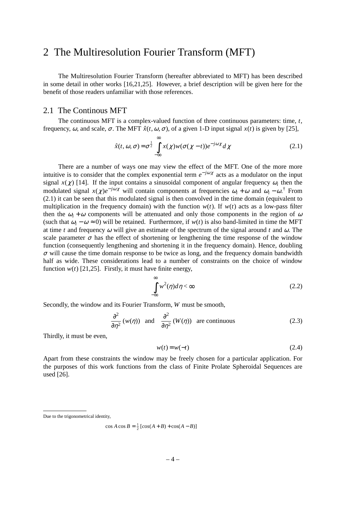### 2 The Multiresolution Fourier Transform (MFT)

The Multiresolution Fourier Transform (hereafter abbreviated to MFT) has been described in some detail in other works [16,21,25]. However, a brief description will be given here for the benefit of those readers unfamiliar with those references.

#### 2.1 The Continous MFT

The continuous MFT is a complex-valued function of three continuous parameters: time, *t*, frequency,  $\omega$ , and scale,  $\sigma$ . The MFT  $\hat{x}(t, \omega, \sigma)$ , of a given 1-D input signal  $x(t)$  is given by [25],

$$
\hat{x}(t,\omega,\sigma) = \sigma^{\frac{1}{2}} \int_{-\infty}^{\infty} x(\chi) w(\sigma(\chi-t)) e^{-j\omega \chi} d\chi
$$
\n(2.1)

There are a number of ways one may view the effect of the MFT. One of the more more intuitive is to consider that the complex exponential term  $e^{-j\omega x}$  acts as a modulator on the input signal  $x(\chi)$  [14]. If the input contains a sinusoidal component of angular frequency  $\omega_i$  then the modulated signal  $x(\chi)e^{-j\omega\chi}$  will contain components at frequencies  $\omega_i + \omega$  and  $\omega_i - \omega$ .<sup>†</sup> From (2.1) it can be seen that this modulated signal is then convolved in the time domain (equivalent to multiplication in the frequency domain) with the function  $w(t)$ . If  $w(t)$  acts as a low-pass filter then the  $\omega_i + \omega$  components will be attenuated and only those components in the region of  $\omega$ (such that  $\omega_i - \omega \approx 0$ ) will be retained. Furthermore, if  $w(t)$  is also band-limited in time the MFT at time *t* and frequency  $\omega$  will give an estimate of the spectrum of the signal around *t* and  $\omega$ . The scale parameter  $\sigma$  has the effect of shortening or lengthening the time response of the window function (consequently lengthening and shortening it in the frequency domain). Hence, doubling  $\sigma$  will cause the time domain response to be twice as long, and the frequency domain bandwidth half as wide. These considerations lead to a number of constraints on the choice of window function  $w(t)$  [21,25]. Firstly, it must have finite energy,

$$
\int_{-\infty}^{\infty} w^2(\eta) d\eta < \infty
$$
\n(2.2)

Secondly, the window and its Fourier Transform, *W* must be smooth,

$$
\frac{\partial^2}{\partial \eta^2} (w(\eta)) \quad \text{and} \quad \frac{\partial^2}{\partial \eta^2} (W(\eta)) \quad \text{are continuous}
$$
 (2.3)

Thirdly, it must be even,

$$
w(t) = w(-t) \tag{2.4}
$$

Apart from these constraints the window may be freely chosen for a particular application. For the purposes of this work functions from the class of Finite Prolate Spheroidal Sequences are used [26].

Due to the trigonometrical identity.

 $\cos A \cos B = \frac{1}{2} [\cos(A+B) + \cos(A-B)]$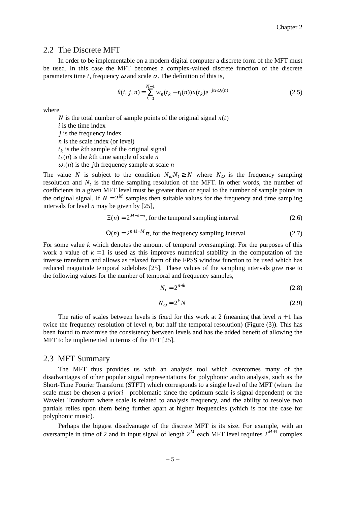#### 2.2 The Discrete MFT

In order to be implementable on a modern digital computer a discrete form of the MFT must be used. In this case the MFT becomes a complex-valued discrete function of the discrete parameters time *t*, frequency  $\omega$  and scale  $\sigma$ . The definition of this is,

$$
\hat{x}(i, j, n) = \sum_{k=0}^{N-1} w_n(t_k - t_i(n))x(t_k)e^{-jt_k\omega_j(n)}
$$
\n(2.5)

where

*N* is the total number of sample points of the original signal  $x(t)$ 

*i* is the time index

*j* is the frequency index

*n* is the scale index (or level)

*tk* is the *k*th sample of the original signal

 $t_k(n)$  is the *k*<sup>th</sup> time sample of scale *n* 

 $\omega_j(n)$  is the *j*th frequency sample at scale *n* 

The value *N* is subject to the condition  $N_{\omega}N_t \geq N$  where  $N_{\omega}$  is the frequency sampling resolution and  $N_t$  is the time sampling resolution of the MFT. In other words, the number of coefficients in a given MFT level must be greater than or equal to the number of sample points in the original signal. If  $N = 2^M$  samples then suitable values for the frequency and time sampling intervals for level *n* may be given by [25],

$$
\Xi(n) = 2^{M-k-n}
$$
, for the temporal sampling interval (2.6)

$$
\Omega(n) = 2^{n+1-M} \pi
$$
, for the frequency sampling interval (2.7)

For some value *k* which denotes the amount of temporal oversampling. For the purposes of this work a value of  $k = 1$  is used as this improves numerical stability in the computation of the inverse transform and allows as relaxed form of the FPSS window function to be used which has reduced magnitude temporal sidelobes [25]. These values of the sampling intervals give rise to the following values for the number of temporal and frequency samples,

$$
N_t = 2^{n+k} \tag{2.8}
$$

$$
N_{\omega} = 2^k N \tag{2.9}
$$

The ratio of scales between levels is fixed for this work at 2 (meaning that level  $n + 1$  has twice the frequency resolution of level  $n$ , but half the temporal resolution) (Figure (3)). This has been found to maximise the consistency between levels and has the added benefit of allowing the MFT to be implemented in terms of the FFT [25].

#### 2.3 MFT Summary

The MFT thus provides us with an analysis tool which overcomes many of the disadvantages of other popular signal representations for polyphonic audio analysis, such as the Short-Time Fourier Transform (STFT) which corresponds to a single level of the MFT (where the scale must be chosen *a priori*—problematic since the optimum scale is signal dependent) or the Wa velet Transform where scale is related to analysis frequency, and the ability to resolve two partials relies upon them being further apart at higher frequencies (which is not the case for polyphonic music).

Perhaps the biggest disadvantage of the discrete MFT is its size. For example, with an oversample in time of 2 and in input signal of length  $2^M$  each MFT level requires  $2^{M+1}$  complex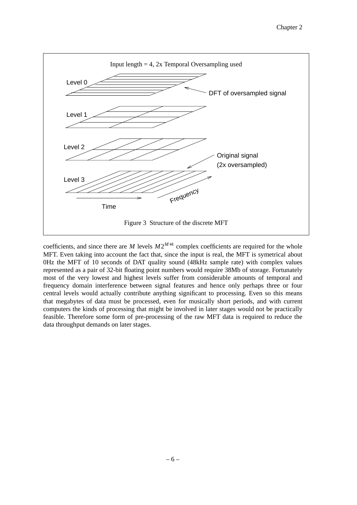

coefficients, and since there are *M* levels  $M2^{M+1}$  complex coefficients are required for the whole MFT. Even taking into account the fact that, since the input is real, the MFT is symetrical about 0Hz the MFT of 10 seconds of DAT quality sound (48kHz sample rate) with complex values represented as a pair of 32-bit floating point numbers would require 38Mb of storage. Fortunately most of the very lowest and highest levels suffer from considerable amounts of temporal and frequency domain interference between signal features and hence only perhaps three or four central levels would actually contribute anything significant to processing. Even so this means that megabytes of data must be processed, even for musically short periods, and with current computers the kinds of processing that might be involved in later stages would not be practically feasible. Therefore some form of pre-processing of the raw MFT data is required to reduce the data throughput demands on later stages.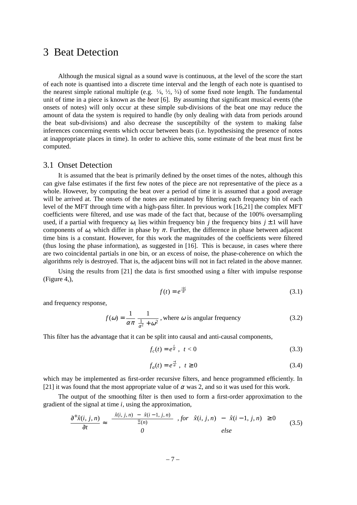## 3 Beat Detection

Although the musical signal as a sound wave is continuous, at the level of the score the start of each note is quantised into a discrete time interval and the length of each note is quantised to the nearest simple rational multiple (e.g.  $\frac{1}{4}$ ,  $\frac{1}{2}$ ,  $\frac{3}{4}$ ) of some fixed note length. The fundamental unit of time in a piece is known as the *beat* [6]. By assuming that significant musical events (the onsets of notes) will only occur at these simple sub-divisions of the beat one may reduce the amount of data the system is required to handle (by only dealing with data from periods around the beat sub-divisions) and also decrease the susceptibilty of the system to making false inferences concerning events which occur between beats (i.e. hypothesising the presence of notes at inappropriate places in time). In order to achieve this, some estimate of the beat must first be computed.

#### 3.1 Onset Detection

It is assumed that the beat is primarily defined by the onset times of the notes, although this can give false estimates if the first few notes of the piece are not representative of the piece as a whole. However, by computing the beat over a period of time it is assumed that a good average will be arrived at. The onsets of the notes are estimated by filtering each frequency bin of each level of the MFT through time with a high-pass filter. In previous work [16,21] the complex MFT coefficients were filtered, and use was made of the fact that, because of the 100% oversampling used, if a partial with frequency  $\omega_i$  lies within frequency bin *j* the frequency bins  $j \pm 1$  will have components of  $\omega_i$  which differ in phase by  $\pi$ . Further, the difference in phase between adjacent time bins is a constant. However, for this work the magnitudes of the coefficients were filtered (thus losing the phase information), as suggested in [16]. This is because, in cases where there are two coincidental partials in one bin, or an excess of noise, the phase-coherence on which the algorithms rely is destroyed. That is, the adjacent bins will not in fact related in the above manner.

Using the results from [21] the data is first smoothed using a filter with impulse response (Figure 4,),

$$
f(t) = e^{\frac{-|t|}{\alpha}} \tag{3.1}
$$

and frequency response,

$$
f(\omega) = \frac{1}{\alpha \pi} \frac{1}{\frac{1}{\alpha^2} + \omega^2}
$$
, where  $\omega$  is angular frequency (3.2)

This filter has the advantage that it can be split into causal and anti-causal components,

$$
f_c(t) = e^{\frac{t}{\alpha}}, \quad t < 0 \tag{3.3}
$$

$$
f_a(t) = e^{\frac{-t}{\alpha}}, \quad t \ge 0 \tag{3.4}
$$

which may be implemented as first-order recursive filters, and hence programmed efficiently. In [21] it was found that the most appropriate value of  $\alpha$  was 2, and so it was used for this work.

The output of the smoothing filter is then used to form a first-order approximation to the gradient of the signal at time *i*, using the approximation,

$$
\frac{\partial^+\hat{x}(i,j,n)}{\partial t} \approx \begin{cases} \frac{|\hat{x}(i,j,n)| - |\hat{x}(i-1,j,n)|}{\Xi(n)} & , \text{for } |\hat{x}(i,j,n)| - |\hat{x}(i-1,j,n)| \ge 0\\ 0 & \text{else} \end{cases} \tag{3.5}
$$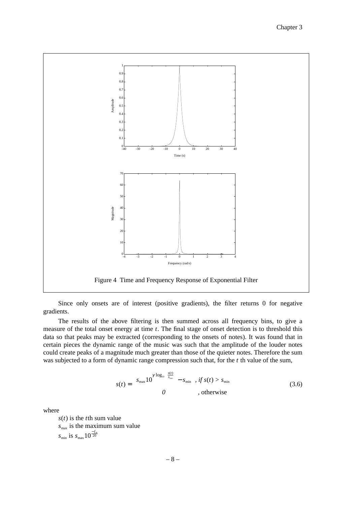

Since only onsets are of interest (positive gradients), the filter returns 0 for negative gradients.

The results of the above filtering is then summed across all frequency bins, to give a measure of the total onset energy at time *t*. The final stage of onset detection is to threshold this data so that peaks may be extracted (corresponding to the onsets of notes). It was found that in certain pieces the dynamic range of the music was such that the amplitude of the louder notes could create peaks of a magnitude much greater than those of the quieter notes. Therefore the sum was subjected to a form of dynamic range compression such that, for the *t* th value of the sum,

$$
s(t) = \begin{cases} s_{\max} 10^{\gamma \log_{10} \left( \frac{s(t)}{s_{\max}} \right)} - s_{\min} & \text{if } s(t) > s_{\min} \\ 0 & \text{otherwise} \end{cases} \tag{3.6}
$$

where

*s*(*t*) is the *t*th sum value  $s_{\text{max}}$  is the maximum sum value  $s_{\min}$  is  $s_{\max} 10^{\frac{-f_{dB}}{20}}$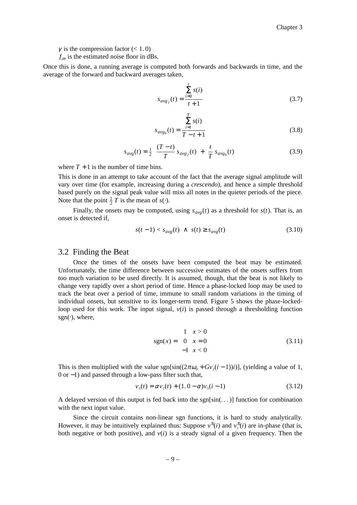$\gamma$  is the compression factor (< 1.0)

 $f_{dB}$  is the estimated noise floor in dBs.

Once this is done, a running average is computed both forwards and backwards in time, and the average of the forward and backward averages taken,

*t*

$$
s_{avg_f}(t) = \frac{\sum_{i=0}^{t} s(i)}{t+1}
$$
 (3.7)

$$
s_{avg_b}(t) = \frac{\sum_{i=t}^{T} s(i)}{T - t + 1}
$$
 (3.8)

$$
s_{avg}(t) = \frac{1}{2} \left( \frac{(T-t)}{T} s_{avg_f}(t) + \frac{t}{T} s_{avg_b}(t) \right)
$$
(3.9)

where  $T + 1$  is the number of time bins.

This is done in an attempt to take account of the fact that the average signal amplitude will vary over time (for example, increasing during a *crescendo*), and hence a simple threshold based purely on the signal peak value will miss all notes in the quieter periods of the piece. Note that the point  $\frac{1}{2}T$  is the mean of *s*(⋅).

Finally, the onsets may be computed, using  $s_{avg}(t)$  as a threshold for  $s(t)$ . That is, an onset is detected if,

$$
s(t-1) < s_{avg}(t) \land s(t) \ge s_{avg}(t) \tag{3.10}
$$

#### 3.2 Finding the Beat

Once the times of the onsets have been computed the beat may be estimated. Unfortunately, the time difference between successive estimates of the onsets suffers from too much variation to be used directly. It is assumed, though, that the beat is not likely to change very rapidly over a short period of time. Hence a phase-locked loop may be used to track the beat over a period of time, immune to small random variations in the timing of individual onsets, but sensitive to its longer-term trend. Figure 5 shows the phase-lockedloop used for this work. The input signal,  $v(i)$  is passed through a thresholding function sgn( $\cdot$ ), where,

$$
sgn(x) = \begin{cases} 1 & x > 0 \\ 0 & x = 0 \\ -1 & x < 0 \end{cases}
$$
 (3.11)

This is then multiplied with the value  $sgn[sin((2\pi\omega_0 + Gv_2(i-1))i)]$ , (yielding a value of 1, 0 or −1) and passed through a low-pass filter such that,

$$
v_3(t) = \alpha v_2(t) + (1.0 - \alpha)v_3(t - 1)
$$
\n(3.12)

A delayed version of this output is fed back into the  $sgn[sin(\dots)]$  function for combination with the next input value.

Since the circuit contains non-linear sgn functions, it is hard to study analytically. However, it may be intuitively explained thus: Suppose  $v^{\pm}(i)$  and  $v^{\pm}_{i}(i)$  are in-phase (that is, both negative or both positive), and *v*(*i*) is a steady signal of a given frequency. Then the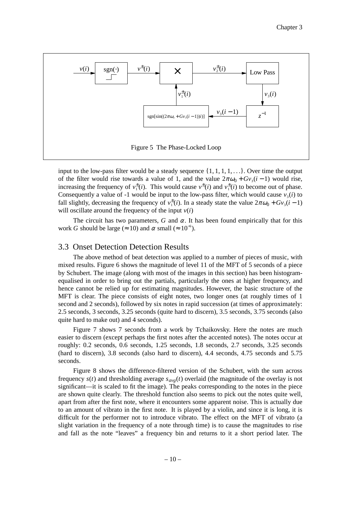

input to the low-pass filter would be a steady sequence  $\{1, 1, 1, 1, \ldots\}$ . Over time the output of the filter would rise towards a value of 1, and the value  $2\pi\omega_0 + Gv_3(i-1)$  would rise, increasing the frequency of  $v_1^{\pm}(i)$ . This would cause  $v^{\pm}(i)$  and  $v_1^{\pm}(i)$  to become out of phase. Consequently a value of -1 would be input to the low-pass filter, which would cause  $v_3(i)$  to fall slightly, decreasing the frequency of  $v_1^{\pm}(i)$ . In a steady state the value  $2\pi\omega_0 + Gv_3(i-1)$ will oscillate around the frequency of the input  $v(i)$ 

The circuit has two parameters, *G* and  $\alpha$ . It has been found empirically that for this work *G* should be large ( $\approx 10$ ) and  $\alpha$  small ( $\approx 10^{-6}$ ).

#### 3.3 Onset Detection Detection Results

The above method of beat detection was applied to a number of pieces of music, with mixed results. Figure 6 shows the magnitude of level 11 of the MFT of 5 seconds of a piece by Schubert. The image (along with most of the images in this section) has been histogramequalised in order to bring out the partials, particularly the ones at higher frequency, and hence cannot be relied up for estimating magnitudes. However, the basic structure of the MFT is clear. The piece consists of eight notes, two longer ones (at roughly times of 1 second and 2 seconds), followed by six notes in rapid succession (at times of approximately: 2.5 seconds, 3 seconds, 3.25 seconds (quite hard to discern), 3.5 seconds, 3.75 seconds (also quite hard to make out) and 4 seconds).

Figure 7 shows 7 seconds from a work by Tchaikovsky. Here the notes are much easier to discern (except perhaps the first notes after the accented notes). The notes occur at roughly: 0.2 seconds, 0.6 seconds, 1.25 seconds, 1.8 seconds, 2.7 seconds, 3.25 seconds (hard to discern), 3.8 seconds (also hard to discern), 4.4 seconds, 4.75 seconds and 5.75 seconds.

Figure 8 shows the difference-filtered version of the Schubert, with the sum across frequency  $s(t)$  and thresholding average  $s_{avg}(t)$  overlaid (the magnitude of the overlay is not significant—it is scaled to fit the image). The peaks corresponding to the notes in the piece are shown quite clearly. The threshold function also seems to pick out the notes quite well, apart from after the first note, where it encounters some apparent noise. This is actually due to an amount of vibrato in the first note. It is played by a violin, and since it is long, it is difficult for the performer not to introduce vibrato. The effect on the MFT of vibrato (a slight variation in the frequency of a note through time) is to cause the magnitudes to rise and fall as the note "leaves" a frequency bin and returns to it a short period later. The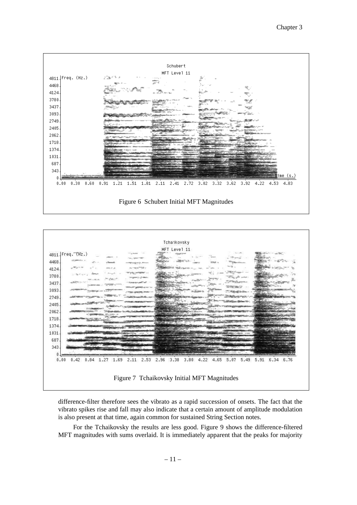



difference-filter therefore sees the vibrato as a rapid succession of onsets. The fact that the vibrato spikes rise and fall may also indicate that a certain amount of amplitude modulation is also present at that time, again common for sustained String Section notes.

For the Tchaikovsky the results are less good. Figure 9 shows the difference-filtered MFT magnitudes with sums overlaid. It is immediately apparent that the peaks for majority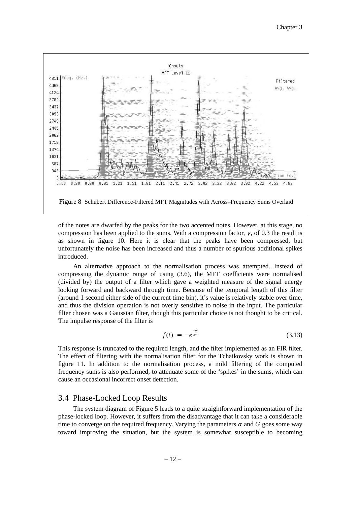

of the notes are dwarfed by the peaks for the two accented notes. However, at this stage, no compression has been applied to the sums. With a compression factor,  $\gamma$ , of 0.3 the result is as shown in figure 10. Here it is clear that the peaks have been compressed, but unfortunately the noise has been increased and thus a number of spurious additional spikes introduced.

An alternative approach to the normalisation process was attempted. Instead of compressing the dynamic range of using (3.6), the MFT coefficients were normalised (divided by) the output of a filter which gave a weighted measure of the signal energy looking forward and backward through time. Because of the temporal length of this filter (around 1 second either side of the current time bin), it's value is relatively stable over time, and thus the division operation is not overly sensitive to noise in the input. The particular filter chosen was a Gaussian filter, though this particular choice is not thought to be critical. The impulse response of the filter is

$$
f(t) = -e^{\frac{-t^2}{\alpha^2}} \tag{3.13}
$$

This response is truncated to the required length, and the filter implemented as an FIR filter. The effect of filtering with the normalisation filter for the Tchaikovsky work is shown in figure 11. In addition to the normalisation process, a mild filtering of the computed frequency sums is also performed, to attenuate some of the 'spikes' in the sums, which can cause an occasional incorrect onset detection.

#### 3.4 Phase-Locked Loop Results

The system diagram of Figure 5 leads to a quite straightforward implementation of the phase-locked loop. However, it suffers from the disadvantage that it can take a considerable time to converge on the required frequency. Varying the parameters  $\alpha$  and  $G$  goes some way toward improving the situation, but the system is somewhat susceptible to becoming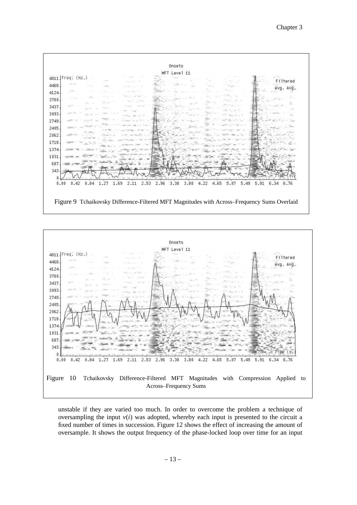



unstable if they are varied too much. In order to overcome the problem a technique of oversampling the input  $v(i)$  was adopted, whereby each input is presented to the circuit a fixed number of times in succession. Figure 12 shows the effect of increasing the amount of oversample. It shows the output frequency of the phase-locked loop over time for an input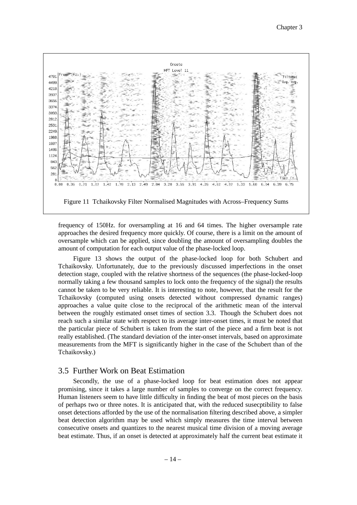

frequency of 150Hz. for oversampling at 16 and 64 times. The higher oversample rate approaches the desired frequency more quickly. Of course, there is a limit on the amount of oversample which can be applied, since doubling the amount of oversampling doubles the amount of computation for each output value of the phase-locked loop.

Figure 13 shows the output of the phase-locked loop for both Schubert and Tchaikovsky. Unfortunately, due to the previously discussed imperfections in the onset detection stage, coupled with the relative shortness of the sequences (the phase-locked-loop normally taking a few thousand samples to lock onto the frequency of the signal) the results cannot be taken to be very reliable. It is interesting to note, however, that the result for the Tchaikovsky (computed using onsets detected without compressed dynamic ranges) approaches a value quite close to the reciprocal of the arithmetic mean of the interval between the roughly estimated onset times of section 3.3. Though the Schubert does not reach such a similar state with respect to its average inter-onset times, it must be noted that the particular piece of Schubert is taken from the start of the piece and a firm beat is not really established. (The standard deviation of the inter-onset intervals, based on approximate measurements from the MFT is significantly higher in the case of the Schubert than of the Tchaikovsky.)

#### 3.5 Further Work on Beat Estimation

Secondly, the use of a phase-locked loop for beat estimation does not appear promising, since it takes a large number of samples to converge on the correct frequency. Human listeners seem to have little difficulty in finding the beat of most pieces on the basis of perhaps two or three notes. It is anticipated that, with the reduced susecptibility to false onset detections afforded by the use of the normalisation filtering described above, a simpler beat detection algorithm may be used which simply measures the time interval between consecutive onsets and quantizes to the nearest musical time division of a moving average beat estimate. Thus, if an onset is detected at approximately half the current beat estimate it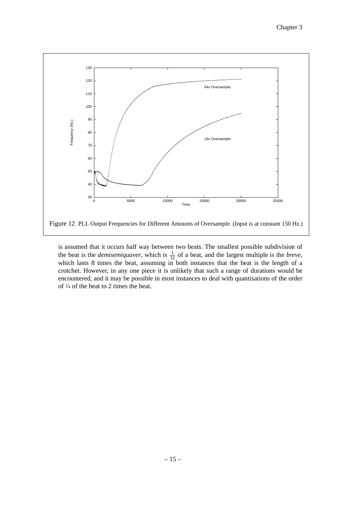

is assumed that it occurs half way between two beats. The smallest possible subdivision of the beat is the *demisemiquaver*, which is  $\frac{1}{32}$  of a beat, and the largest multiple is the *breve*, which lasts 8 times the beat, assuming in both instances that the beat is the length of a crotchet. However, in any one piece it is unlikely that such a range of durations would be encountered, and it may be possible in most instances to deal with quantisations of the order of <sup>1</sup> ⁄<sup>4</sup> of the beat to 2 times the beat.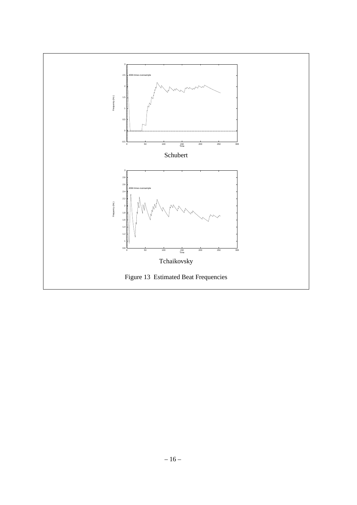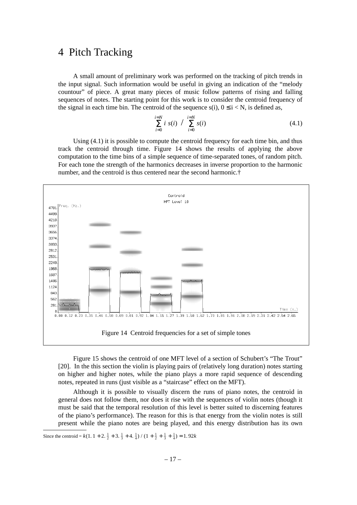### 4 Pitch Tracking

A small amount of preliminary work was performed on the tracking of pitch trends in the input signal. Such information would be useful in giving an indication of the "melody countour" of piece. A great many pieces of music follow patterns of rising and falling sequences of notes. The starting point for this work is to consider the centroid frequency of the signal in each time bin. The centroid of the sequence s(i),  $0 \le i \le N$ , is defined as,

$$
\sum_{i=0}^{i=N} i \ s(i) / \sum_{i=0}^{i=N} s(i) \tag{4.1}
$$

Using (4.1) it is possible to compute the centroid frequency for each time bin, and thus track the centroid through time. Figure 14 shows the results of applying the above computation to the time bins of a simple sequence of time-separated tones, of random pitch. For each tone the strength of the harmonics decreases in inverse proportion to the harmonic number, and the centroid is thus centered near the second harmonic.†



Figure 15 shows the centroid of one MFT level of a section of Schubert's "The Trout" [20]. In the this section the violin is playing pairs of (relatively long duration) notes starting on higher and higher notes, while the piano plays a more rapid sequence of descending notes, repeated in runs (just visible as a "staircase" effect on the MFT).

Although it is possible to visually discern the runs of piano notes, the centroid in general does not follow them, nor does it rise with the sequences of violin notes (though it must be said that the temporal resolution of this level is better suited to discerning features of the piano's performance). The reason for this is that energy from the violin notes is still present while the piano notes are being played, and this energy distribution has its own

Since the centroid =  $k(1. 1 + 2. \frac{1}{2} + 3. \frac{1}{3} + 4. \frac{1}{4}) / (1 + \frac{1}{2} + \frac{1}{3} + \frac{1}{4}) = 1.92k$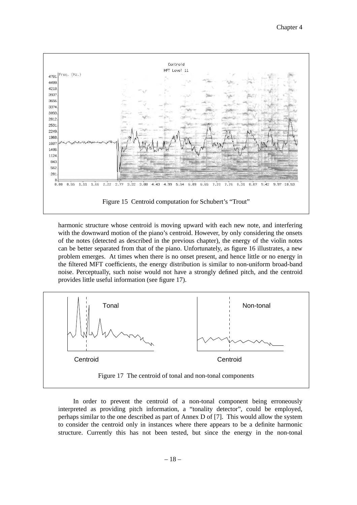

harmonic structure whose centroid is moving upward with each new note, and interfering with the downward motion of the piano's centroid. However, by only considering the onsets of the notes (detected as described in the previous chapter), the energy of the violin notes can be better separated from that of the piano. Unfortunately, as figure 16 illustrates, a new problem emerges. At times when there is no onset present, and hence little or no energy in the filtered MFT coefficients, the energy distribution is similar to non-uniform broad-band noise. Perceptually, such noise would not have a strongly defined pitch, and the centroid provides little useful information (see figure 17).



In order to prevent the centroid of a non-tonal component being erroneously interpreted as providing pitch information, a "tonality detector", could be employed, perhaps similar to the one described as part of Annex D of [7]. This would allow the system to consider the centroid only in instances where there appears to be a definite harmonic structure. Currently this has not been tested, but since the energy in the non-tonal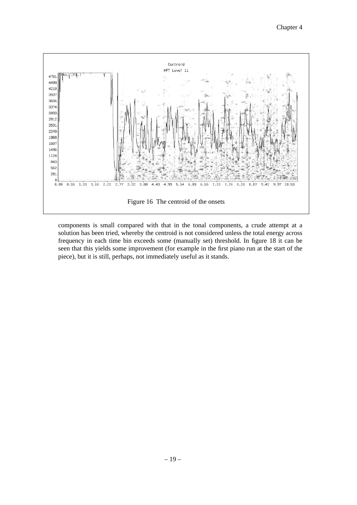

components is small compared with that in the tonal components, a crude attempt at a solution has been tried, whereby the centroid is not considered unless the total energy across frequency in each time bin exceeds some (manually set) threshold. In figure 18 it can be seen that this yields some improvement (for example in the first piano run at the start of the piece), but it is still, perhaps, not immediately useful as it stands.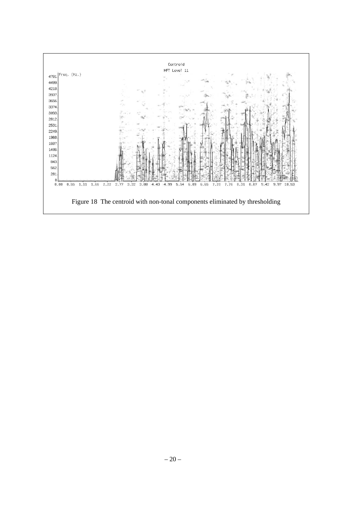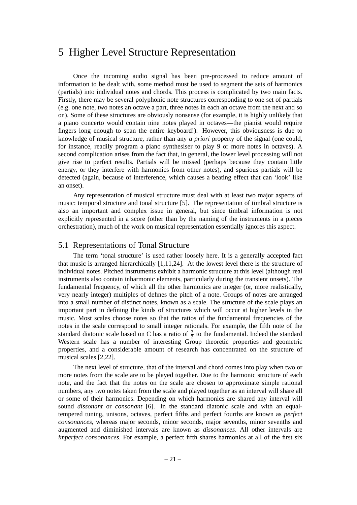## 5 Higher Level Structure Representation

Once the incoming audio signal has been pre-processed to reduce amount of information to be dealt with, some method must be used to segment the sets of harmonics (partials) into individual notes and chords. This process is complicated by two main facts. Firstly, there may be several polyphonic note structures corresponding to one set of partials (e.g. one note, two notes an octave a part, three notes in each an octave from the next and so on). Some of these structures are obviously nonsense (for example, it is highly unlikely that a piano concerto would contain nine notes played in octaves—the pianist would require fingers long enough to span the entire keyboard!). However, this obviousness is due to knowledge of musical structure, rather than any *a priori* property of the signal (one could, for instance, readily program a piano synthesiser to play 9 or more notes in octaves). A second complication arises from the fact that, in general, the lower level processing will not give rise to perfect results. Partials will be missed (perhaps because they contain little energy, or they interfere with harmonics from other notes), and spurious partials will be detected (again, because of interference, which causes a beating effect that can 'look' like an onset).

Any representation of musical structure must deal with at least two major aspects of music: temporal structure and tonal structure [5]. The representation of timbral structure is also an important and complex issue in general, but since timbral information is not explicitly represented in a score (other than by the naming of the instruments in a pieces orchestration), much of the work on musical representation essentially ignores this aspect.

#### 5.1 Representations of Tonal Structure

The term 'tonal structure' is used rather loosely here. It is a generally accepted fact that music is arranged hierarchically [1,11,24]. At the lowest level there is the structure of individual notes. Pitched instruments exhibit a harmonic structure at this level (although real instruments also contain inharmonic elements, particularly during the transient onsets). The fundamental frequency, of which all the other harmonics are integer (or, more realistically, very nearly integer) multiples of defines the pitch of a note. Groups of notes are arranged into a small number of distinct notes, known as a scale. The structure of the scale plays an important part in defining the kinds of structures which will occur at higher levels in the music. Most scales choose notes so that the ratios of the fundamental frequencies of the notes in the scale correspond to small integer rationals. For example, the fifth note of the standard diatonic scale based on C has a ratio of  $\frac{3}{2}$  to the fundamental. Indeed the standard Western scale has a number of interesting Group theoretic properties and geometric properties, and a considerable amount of research has concentrated on the structure of musical scales [2,22].

The next level of structure, that of the interval and chord comes into play when two or more notes from the scale are to be played together. Due to the harmonic structure of each note, and the fact that the notes on the scale are chosen to approximate simple rational numbers, any two notes taken from the scale and played together as an interval will share all or some of their harmonics. Depending on which harmonics are shared any interval will sound *dissonant* or *consonant* [6]. In the standard diatonic scale and with an equaltempered tuning, unisons, octaves, perfect fifths and perfect fourths are known as *perfect consonances*, whereas major seconds, minor seconds, major sevenths, minor sevenths and augmented and diminished intervals are known as *dissonances*. All other intervals are *imperfect consonances*. For example, a perfect fifth shares harmonics at all of the first six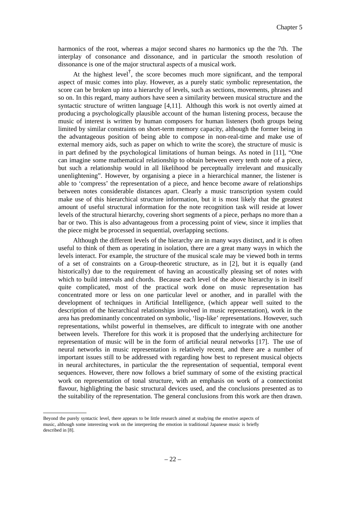harmonics of the root, whereas a major second shares *no* harmonics up the the 7th. The interplay of consonance and dissonance, and in particular the smooth resolution of dissonance is one of the major structural aspects of a musical work.

At the highest level<sup>†</sup>, the score becomes much more significant, and the temporal aspect of music comes into play. However, as a purely static symbolic representation, the score can be broken up into a hierarchy of levels, such as sections, movements, phrases and so on. In this regard, many authors have seen a similarity between musical structure and the syntactic structure of written language [4,11]. Although this work is not overtly aimed at producing a psychologically plausible account of the human listening process, because the music of interest is written by human composers for human listeners (both groups being limited by similar constraints on short-term memory capacity, although the former being in the advantageous position of being able to compose in non-real-time and make use of external memory aids, such as paper on which to write the score), the structure of music is in part defined by the psychological limitations of human beings. As noted in [11], "One can imagine some mathematical relationship to obtain between every tenth note of a piece, but such a relationship would in all likelihood be perceptually irrelevant and musically unenlightening". However, by organising a piece in a hierarchical manner, the listener is able to 'compress' the representation of a piece, and hence become aware of relationships between notes considerable distances apart. Clearly a music transcription system could make use of this hierarchical structure information, but it is most likely that the greatest amount of useful structural information for the note recognition task will reside at lower levels of the structural hierarchy, covering short segments of a piece, perhaps no more than a bar or two. This is also advantageous from a processing point of view, since it implies that the piece might be processed in sequential, overlapping sections.

Although the different levels of the hierarchy are in many ways distinct, and it is often useful to think of them as operating in isolation, there are a great many ways in which the levels interact. For example, the structure of the musical scale may be viewed both in terms of a set of constraints on a Group-theoretic structure, as in [2], but it is equally (and historically) due to the requirement of having an acoustically pleasing set of notes with which to build intervals and chords. Because each level of the above hierarchy is in itself quite complicated, most of the practical work done on music representation has concentrated more or less on one particular level or another, and in parallel with the development of techniques in Artificial Intelligence, (which appear well suited to the description of the hierarchical relationships involved in music representation), work in the area has predominantly concentrated on symbolic, 'lisp-like' representations. However, such representations, whilst powerful in themselves, are difficult to integrate with one another between levels. Therefore for this work it is proposed that the underlying architecture for representation of music will be in the form of artificial neural networks [17]. The use of neural networks in music representation is relatively recent, and there are a number of important issues still to be addressed with regarding how best to represent musical objects in neural architectures, in particular the the representation of sequential, temporal event sequences. However, there now follows a brief summary of some of the existing practical work on representation of tonal structure, with an emphasis on work of a connectionist flavour, highlighting the basic structural devices used, and the conclusions presented as to the suitability of the representation. The general conclusions from this work are then drawn.

Beyond the purely syntactic level, there appears to be little research aimed at studying the emotive aspects of music, although some interesting work on the interpreting the emotion in traditional Japanese music is briefly described in [8].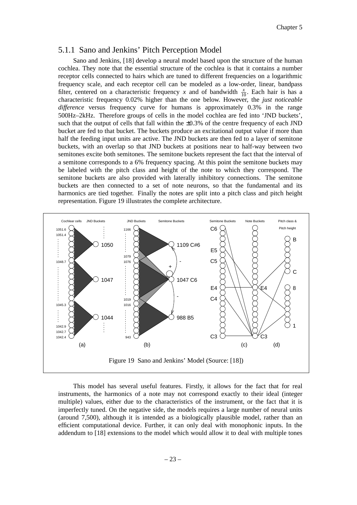#### 5.1.1 Sano and Jenkins' Pitch Perception Model

Sano and Jenkins, [18] develop a neural model based upon the structure of the human cochlea. They note that the essential structure of the cochlea is that it contains a number receptor cells connected to hairs which are tuned to different frequencies on a logarithmic frequency scale, and each receptor cell can be modeled as a low-order, linear, bandpass filter, centered on a characteristic frequency *x* and of bandwidth  $\frac{x}{10}$ . Each hair is has a characteristic frequency 0.02% higher than the one below. However, the *just noticeable difference* versus frequency curve for humans is approximately 0.3% in the range 500Hz–2kHz. Therefore groups of cells in the model cochlea are fed into 'JND buckets', such that the output of cells that fall within the  $\pm 0.3\%$  of the centre frequency of each JND bucket are fed to that bucket. The buckets produce an excitational output value if more than half the feeding input units are active. The JND buckets are then fed to a layer of semitone buckets, with an overlap so that JND buckets at positions near to half-way between two semitones excite both semitones. The semitone buckets represent the fact that the interval of a semitone corresponds to a 6% frequency spacing. At this point the semitone buckets may be labeled with the pitch class and height of the note to which they correspond. The semitone buckets are also provided with laterally inhibitory connections. The semitone buckets are then connected to a set of note neurons, so that the fundamental and its harmonics are tied together. Finally the notes are split into a pitch class and pitch height representation. Figure 19 illustrates the complete architecture.



This model has several useful features. Firstly, it allows for the fact that for real instruments, the harmonics of a note may not correspond exactly to their ideal (integer multiple) values, either due to the characteristics of the instrument, or the fact that it is imperfectly tuned. On the negative side, the models requires a large number of neural units (around 7,500), although it is intended as a biologically plausible model, rather than an efficient computational device. Further, it can only deal with monophonic inputs. In the addendum to [18] extensions to the model which would allow it to deal with multiple tones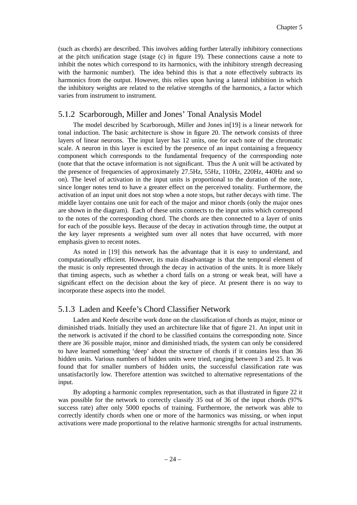(such as chords) are described. This involves adding further laterally inhibitory connections at the pitch unification stage (stage (c) in figure 19). These connections cause a note to inhibit the notes which correspond to its harmonics, with the inhibitory strength decreasing with the harmonic number). The idea behind this is that a note effectively subtracts its harmonics from the output. However, this relies upon having a lateral inhibition in which the inhibitory weights are related to the relative strengths of the harmonics, a factor which varies from instrument to instrument.

#### 5.1.2 Scarborough, Miller and Jones' Tonal Analysis Model

The model described by Scarborough, Miller and Jones in[19] is a linear network for tonal induction. The basic architecture is show in figure 20. The network consists of three layers of linear neurons. The input layer has 12 units, one for each note of the chromatic scale. A neuron in this layer is excited by the presence of an input containing a frequency component which corresponds to the fundamental frequency of the corresponding note (note that that the octave information is not significant. Thus the A unit will be activated by the presence of frequencies of approximately 27.5Hz, 55Hz, 110Hz, 220Hz, 440Hz and so on). The level of activation in the input units is proportional to the duration of the note, since longer notes tend to have a greater effect on the perceived tonality. Furthermore, the activation of an input unit does not stop when a note stops, but rather decays with time. The middle layer contains one unit for each of the major and minor chords (only the major ones are shown in the diagram). Each of these units connects to the input units which correspond to the notes of the corresponding chord. The chords are then connected to a layer of units for each of the possible keys. Because of the decay in activation through time, the output at the key layer represents a weighted sum over all notes that have occurred, with more emphasis given to recent notes.

As noted in [19] this network has the advantage that it is easy to understand, and computationally efficient. However, its main disadvantage is that the temporal element of the music is only represented through the decay in activation of the units. It is more likely that timing aspects, such as whether a chord falls on a strong or weak beat, will have a significant effect on the decision about the key of piece. At present there is no way to incorporate these aspects into the model.

#### 5.1.3 Laden and Keefe's Chord Classifier Network

Laden and Keefe describe work done on the classification of chords as major, minor or diminished triads. Initially they used an architecture like that of figure 21. An input unit in the network is activated if the chord to be classified contains the corresponding note. Since there are 36 possible major, minor and diminished triads, the system can only be considered to have learned something 'deep' about the structure of chords if it contains less than 36 hidden units. Various numbers of hidden units were tried, ranging between 3 and 25. It was found that for smaller numbers of hidden units, the successful classification rate was unsatisfactorily low. Therefore attention was switched to alternative representations of the input.

By adopting a harmonic complex representation, such as that illustrated in figure 22 it was possible for the network to correctly classify 35 out of 36 of the input chords (97% success rate) after only 5000 epochs of training. Furthermore, the network was able to correctly identify chords when one or more of the harmonics was missing, or when input activations were made proportional to the relative harmonic strengths for actual instruments.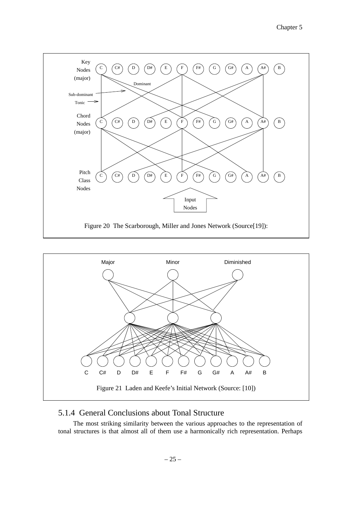



### 5.1.4 General Conclusions about Tonal Structure

The most striking similarity between the various approaches to the representation of tonal structures is that almost all of them use a harmonically rich representation. Perhaps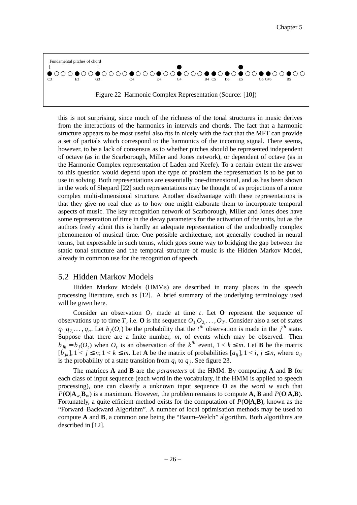

this is not surprising, since much of the richness of the tonal structures in music derives from the interactions of the harmonics in intervals and chords. The fact that a harmonic structure appears to be most useful also fits in nicely with the fact that the MFT can provide a set of partials which correspond to the harmonics of the incoming signal. There seems, however, to be a lack of consensus as to whether pitches should be represented independent of octave (as in the Scarborough, Miller and Jones network), or dependent of octave (as in the Harmonic Complex representation of Laden and Keefe). Toacertain extent the answer to this question would depend upon the type of problem the representation is to be put to use in solving. Both representations are essentially one-dimensional, and as has been shown in the work of Shepard [22] such representations may be thought of as projections of a more complex multi-dimensional structure. Another disadvantage with these representations is that they give no real clue as to how one might elaborate them to incorporate temporal aspects of music. The key recognition network of Scarborough, Miller and Jones does have some representation of time in the decay parameters for the activation of the units, but as the authors freely admit this is hardly an adequate representation of the undoubtedly complex phenomenon of musical time. One possible architecture, not generally couched in neural terms, but expressible in such terms, which goes some way to bridging the gap between the static tonal structure and the temporal structure of music is the Hidden Markov Model, already in common use for the recognition of speech.

#### 5.2 Hidden Markov Models

Hidden Markov Models (HMMs) are described in many places in the speech processing literature, such as [12]. A brief summary of the underlying terminology used will be given here.

Consider an observation  $O_t$  made at time *t*. Let **O** represent the sequence of observations up to time *T*, i.e. **O** is the sequence  $O_1, O_2, \ldots, O_T$ . Consider also a set of states  $q_1, q_2, \ldots, q_n$ . Let  $b_j(O_t)$  be the probability that the *t*<sup>th</sup> observation is made in the *j*<sup>th</sup> state. Suppose that there are a finite number, *m*, of events which may be observed. Then  $b_{jk} = b_j(O_t)$  when  $O_t$  is an observation of the  $k^{th}$  event,  $1 < k \leq m$ . Let **B** be the matrix  $[\vec{b}_{ik}]$ ,  $1 \le i \le n$ ;  $1 \le k \le m$ . Let **A** be the matrix of probabilities  $[a_{ii}]$ ,  $1 \le i, j \le n$ , where  $a_{ii}$ is the probability of a state transition from  $q_i$  to  $q_j$ . See figure 23.

The matrices **A** and **B** are the *parameters* of the HMM. By computing **A** and **B** for each class of input sequence (each word in the vocabulary, if the HMM is applied to speech processing), one can classify a unknown input sequence **O** as the word *w* such that  $P(O|A_w, B_w)$  is a maximum. However, the problem remains to compute **A**, **B** and  $P(O|A, B)$ . Fortunately, a quite efficient method exists for the computation of  $P(O|A,B)$ , known as the "Forward–Backward Algorithm". A number of local optimisation methods may be used to compute  $\bf{A}$  and  $\bf{B}$ , a common one being the "Baum–Welch" algorithm. Both algorithms are described in [12].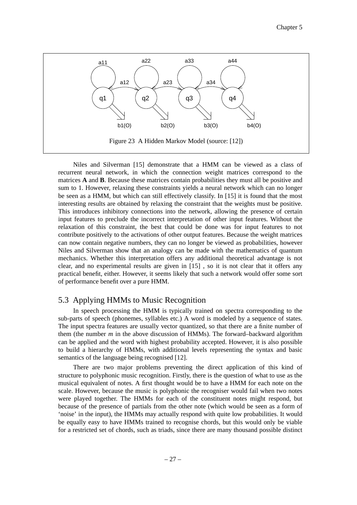

Niles and Silverman [15] demonstrate that a HMM can be viewed as a class of recurrent neural network, in which the connection weight matrices correspond to the matrices **A** and **B**. Because these matrices contain probabilities they must all be positive and sum to 1. However, relaxing these constraints yields a neural network which can no longer be seen as a HMM, but which can still effectively classify. In [15] it is found that the most interesting results are obtained by relaxing the constraint that the weights must be positive. This introduces inhibitory connections into the network, allowing the presence of certain input features to preclude the incorrect interpretation of other input features. Without the relaxation of this constraint, the best that could be done was for input features to not contribute positively to the activations of other output features. Because the weight matrices can now contain negative numbers, they can no longer be viewed as probabilities, however Niles and Silverman show that an analogy can be made with the mathematics of quantum mechanics. Whether this interpretation offers any additional theoretical advantage is not clear, and no experimental results are given in [15] , so it is not clear that it offers any practical benefit, either. However, it seems likely that such a network would offer some sort of performance benefit over a pure HMM.

#### 5.3 Applying HMMs to Music Recognition

In speech processing the HMM is typically trained on spectra corresponding to the sub-parts of speech (phonemes, syllables etc.) A word is modeled by a sequence of states. The input spectra features are usually vector quantized, so that there are a finite number of them (the number *m* in the above discussion of HMMs). The forward–backward algorithm can be applied and the word with highest probability accepted. However, it is also possible to build a hierarchy of HMMs, with additional levels representing the syntax and basic semantics of the language being recognised [12].

There are two major problems preventing the direct application of this kind of structure to polyphonic music recognition. Firstly, there is the question of what to use as the musical equivalent of notes. A first thought would be to have a HMM for each note on the scale. However, because the music is polyphonic the recogniser would fail when two notes were played together. The HMMs for each of the constituent notes might respond, but because of the presence of partials from the other note (which would be seen as a form of 'noise' in the input), the HMMs may actually respond with quite low probabilities. It would be equally easy to have HMMs trained to recognise chords, but this would only be viable for a restricted set of chords, such as triads, since there are many thousand possible distinct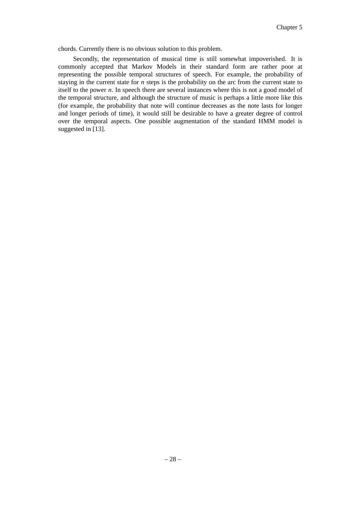chords. Currently there is no obvious solution to this problem.

Secondly, the representation of musical time is still somewhat impoverished. It is commonly accepted that Markov Models in their standard form are rather poor at representing the possible temporal structures of speech. For example, the probability of staying in the current state for *n* steps is the probability on the arc from the current state to itself to the power *n*. In speech there are several instances where this is not a good model of the temporal structure, and although the structure of music is perhaps a little more like this (for example, the probability that note will continue decreases as the note lasts for longer and longer periods of time), it would still be desirable to have a greater degree of control over the temporal aspects. One possible augmentation of the standard HMM model is suggested in [13].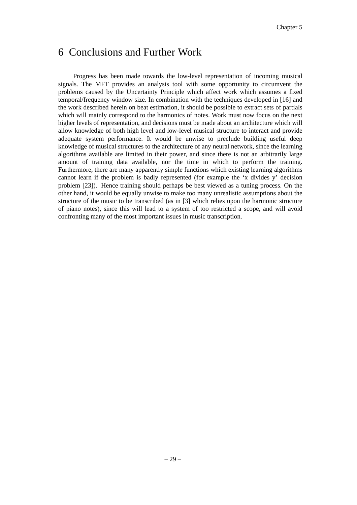## 6 Conclusions and Further Work

Progress has been made towards the low-level representation of incoming musical signals. The MFT provides an analysis tool with some opportunity to circumvent the problems caused by the Uncertainty Principle which affect work which assumes a fixed temporal/frequency window size. In combination with the techniques developed in [16] and the work described herein on beat estimation, it should be possible to extract sets of partials which will mainly correspond to the harmonics of notes. Work must now focus on the next higher levels of representation, and decisions must be made about an architecture which will allow knowledge of both high level and low-level musical structure to interact and provide adequate system performance. It would be unwise to preclude building useful deep knowledge of musical structures to the architecture of any neural network, since the learning algorithms available are limited in their power, and since there is not an arbitrarily large amount of training data available, nor the time in which to perform the training. Furthermore, there are many apparently simple functions which existing learning algorithms cannot learn if the problem is badly represented (for example the 'x divides y' decision problem [23]). Hence training should perhaps be best viewed as a tuning process. On the other hand, it would be equally unwise to make too many unrealistic assumptions about the structure of the music to be transcribed (as in [3] which relies upon the harmonic structure of piano notes), since this will lead to a system of too restricted a scope, and will avoid confronting many of the most important issues in music transcription.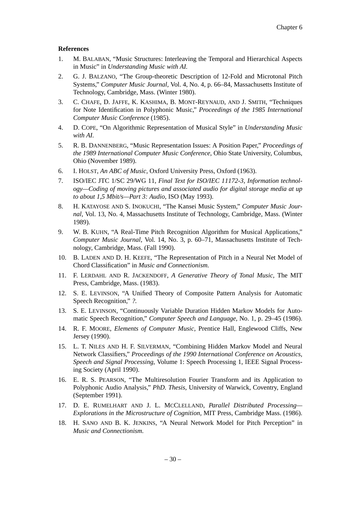#### **References**

- 1. M. BALABAN, "Music Structures: Interleaving the Temporal and Hierarchical Aspects in Music" in *Understanding Music with AI.*
- 2. G. J. BALZANO, "The Group-theoretic Description of 12-Fold and Microtonal Pitch Systems," *Computer Music Journal,* Vol. 4, No. 4, p. 66–84, Massachusetts Institute of Technology, Cambridge, Mass. (Winter 1980).
- 3. C. CHAFE, D. JAFFE, K. KASHIMA, B. MONT-REYNAUD, AND J. SMITH, "Techniques for Note Identification in Polyphonic Music," *Proceedings of the 1985 International Computer Music Conference* (1985).
- 4. D. COPE, "On Algorithmic Representation of Musical Style" in *Understanding Music with AI.*
- 5. R. B. DANNENBERG, "Music Representation Issues: A Position Paper," *Proceedings of the 1989 International Computer Music Conference,* Ohio State University, Columbus, Ohio (November 1989).
- 6. I. HOLST, *An ABC of Music,* Oxford University Press, Oxford (1963).
- 7. ISO/IEC JTC 1/SC 29/WG 11, *Final Text for ISO/IEC 11172-3, Information technology—Coding of moving pictures and associated audio for digital storage media at up to about 1,5 Mbit/s—Part 3: Audio,* ISO (May 1993).
- 8. H. KATAYOSE AND S. INOKUCHI, "The Kansei Music System," Computer Music Jour*nal,* Vol. 13, No. 4, Massachusetts Institute of Technology, Cambridge, Mass. (Winter 1989).
- 9. W. B. KUHN, "A Real-Time Pitch Recognition Algorithm for Musical Applications," *Computer Music Journal,* Vol. 14, No. 3, p. 60–71, Massachusetts Institute of Technology, Cambridge, Mass. (Fall 1990).
- 10. B. LADEN AND D. H. KEEFE, "The Representation of Pitch in a Neural Net Model of Chord Classification" in *Music and Connectionism.*
- 11. F. LERDAHL AND R. JACKENDOFF, *A Generative Theory of Tonal Music,* The MIT Press, Cambridge, Mass. (1983).
- 12. S. E. LEVINSON, "A Unified Theory of Composite Pattern Analysis for Automatic Speech Recognition," *?.*
- 13. S. E. LEVINSON, "Continuously Variable Duration Hidden Markov Models for Automatic Speech Recognition," *Computer Speech and Language,* No. 1, p. 29–45 (1986).
- 14. R. F. MOORE, *Elements of Computer Music,* Prentice Hall, Englewood Cliffs, New Jersey (1990).
- 15. L. T. NILES AND H. F. SILVERMAN, "Combining Hidden Markov Model and Neural Network Classifiers," *Proceedings of the 1990 International Conference on Acoustics, Speech and Signal Processing,* Volume 1: Speech Processing 1, IEEE Signal Processing Society (April 1990).
- 16. E. R. S. PEARSON, "The Multiresolution Fourier Transform and its Application to Polyphonic Audio Analysis," *PhD. Thesis,* University of Warwick, Coventry, England (September 1991).
- 17. D. E. RUMELHART AND J. L. MCCLELLAND, *Parallel Distributed Processing— Explorations in the Microstructure of Cognition,* MIT Press, Cambridge Mass. (1986).
- 18. H. SANO AND B. K. JENKINS, "A Neural Network Model for Pitch Perception" in *Music and Connectionism.*